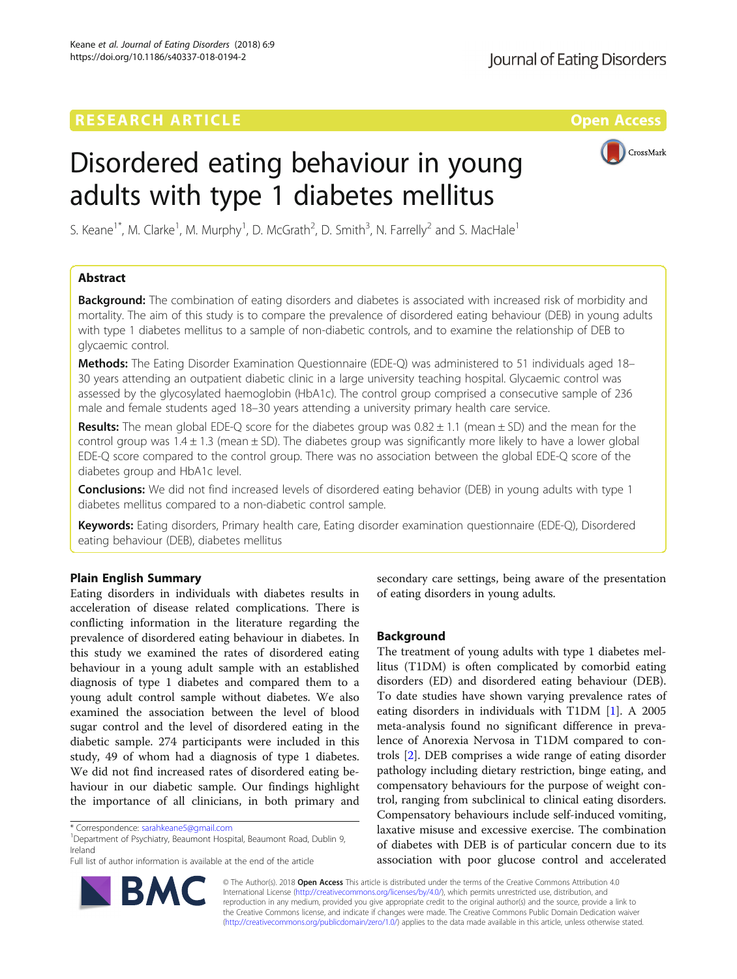# Disordered eating behaviour in young adults with type 1 diabetes mellitus



S. Keane<sup>1\*</sup>, M. Clarke<sup>1</sup>, M. Murphy<sup>1</sup>, D. McGrath<sup>2</sup>, D. Smith<sup>3</sup>, N. Farrelly<sup>2</sup> and S. MacHale<sup>1</sup>

# Abstract

**Background:** The combination of eating disorders and diabetes is associated with increased risk of morbidity and mortality. The aim of this study is to compare the prevalence of disordered eating behaviour (DEB) in young adults with type 1 diabetes mellitus to a sample of non-diabetic controls, and to examine the relationship of DEB to glycaemic control.

Methods: The Eating Disorder Examination Questionnaire (EDE-Q) was administered to 51 individuals aged 18– 30 years attending an outpatient diabetic clinic in a large university teaching hospital. Glycaemic control was assessed by the glycosylated haemoglobin (HbA1c). The control group comprised a consecutive sample of 236 male and female students aged 18–30 years attending a university primary health care service.

**Results:** The mean global EDE-Q score for the diabetes group was  $0.82 \pm 1.1$  (mean  $\pm$  SD) and the mean for the control group was  $1.4 \pm 1.3$  (mean  $\pm$  SD). The diabetes group was significantly more likely to have a lower global EDE-Q score compared to the control group. There was no association between the global EDE-Q score of the diabetes group and HbA1c level.

**Conclusions:** We did not find increased levels of disordered eating behavior (DEB) in young adults with type 1 diabetes mellitus compared to a non-diabetic control sample.

Keywords: Eating disorders, Primary health care, Eating disorder examination questionnaire (EDE-Q), Disordered eating behaviour (DEB), diabetes mellitus

# Plain English Summary

Eating disorders in individuals with diabetes results in acceleration of disease related complications. There is conflicting information in the literature regarding the prevalence of disordered eating behaviour in diabetes. In this study we examined the rates of disordered eating behaviour in a young adult sample with an established diagnosis of type 1 diabetes and compared them to a young adult control sample without diabetes. We also examined the association between the level of blood sugar control and the level of disordered eating in the diabetic sample. 274 participants were included in this study, 49 of whom had a diagnosis of type 1 diabetes. We did not find increased rates of disordered eating behaviour in our diabetic sample. Our findings highlight the importance of all clinicians, in both primary and

<sup>1</sup>Department of Psychiatry, Beaumont Hospital, Beaumont Road, Dublin 9, Ireland

secondary care settings, being aware of the presentation of eating disorders in young adults.

# Background

The treatment of young adults with type 1 diabetes mellitus (T1DM) is often complicated by comorbid eating disorders (ED) and disordered eating behaviour (DEB). To date studies have shown varying prevalence rates of eating disorders in individuals with T1DM [\[1\]](#page-4-0). A 2005 meta-analysis found no significant difference in prevalence of Anorexia Nervosa in T1DM compared to controls [[2](#page-4-0)]. DEB comprises a wide range of eating disorder pathology including dietary restriction, binge eating, and compensatory behaviours for the purpose of weight control, ranging from subclinical to clinical eating disorders. Compensatory behaviours include self-induced vomiting, laxative misuse and excessive exercise. The combination of diabetes with DEB is of particular concern due to its association with poor glucose control and accelerated

RM(

© The Author(s). 2018 Open Access This article is distributed under the terms of the Creative Commons Attribution 4.0 International License [\(http://creativecommons.org/licenses/by/4.0/](http://creativecommons.org/licenses/by/4.0/)), which permits unrestricted use, distribution, and reproduction in any medium, provided you give appropriate credit to the original author(s) and the source, provide a link to the Creative Commons license, and indicate if changes were made. The Creative Commons Public Domain Dedication waiver [\(http://creativecommons.org/publicdomain/zero/1.0/](http://creativecommons.org/publicdomain/zero/1.0/)) applies to the data made available in this article, unless otherwise stated.

<sup>\*</sup> Correspondence: [sarahkeane5@gmail.com](mailto:sarahkeane5@gmail.com) <sup>1</sup>

Full list of author information is available at the end of the article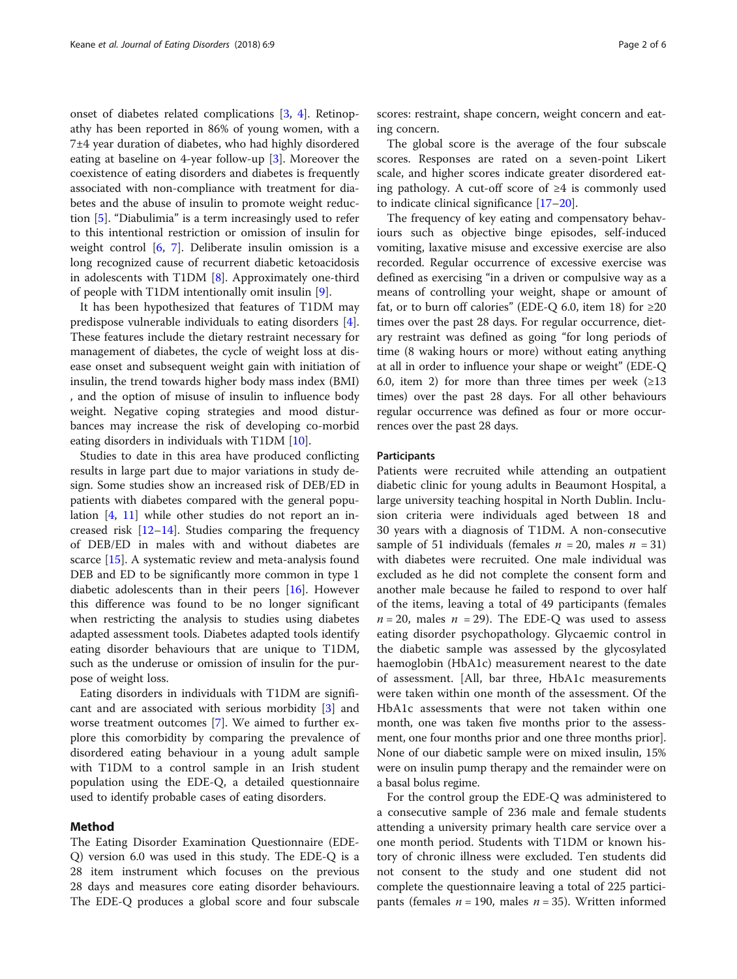onset of diabetes related complications [\[3](#page-4-0), [4](#page-4-0)]. Retinopathy has been reported in 86% of young women, with a 7±4 year duration of diabetes, who had highly disordered eating at baseline on 4-year follow-up [[3](#page-4-0)]. Moreover the coexistence of eating disorders and diabetes is frequently associated with non-compliance with treatment for diabetes and the abuse of insulin to promote weight reduction [\[5](#page-4-0)]. "Diabulimia" is a term increasingly used to refer to this intentional restriction or omission of insulin for weight control [\[6](#page-4-0), [7](#page-4-0)]. Deliberate insulin omission is a long recognized cause of recurrent diabetic ketoacidosis in adolescents with T1DM [[8\]](#page-4-0). Approximately one-third of people with T1DM intentionally omit insulin [[9\]](#page-5-0).

It has been hypothesized that features of T1DM may predispose vulnerable individuals to eating disorders [\[4](#page-4-0)]. These features include the dietary restraint necessary for management of diabetes, the cycle of weight loss at disease onset and subsequent weight gain with initiation of insulin, the trend towards higher body mass index (BMI) , and the option of misuse of insulin to influence body weight. Negative coping strategies and mood disturbances may increase the risk of developing co-morbid eating disorders in individuals with T1DM [[10](#page-5-0)].

Studies to date in this area have produced conflicting results in large part due to major variations in study design. Some studies show an increased risk of DEB/ED in patients with diabetes compared with the general population [[4,](#page-4-0) [11\]](#page-5-0) while other studies do not report an increased risk [[12](#page-5-0)–[14](#page-5-0)]. Studies comparing the frequency of DEB/ED in males with and without diabetes are scarce [[15\]](#page-5-0). A systematic review and meta-analysis found DEB and ED to be significantly more common in type 1 diabetic adolescents than in their peers [\[16\]](#page-5-0). However this difference was found to be no longer significant when restricting the analysis to studies using diabetes adapted assessment tools. Diabetes adapted tools identify eating disorder behaviours that are unique to T1DM, such as the underuse or omission of insulin for the purpose of weight loss.

Eating disorders in individuals with T1DM are significant and are associated with serious morbidity [\[3\]](#page-4-0) and worse treatment outcomes [[7\]](#page-4-0). We aimed to further explore this comorbidity by comparing the prevalence of disordered eating behaviour in a young adult sample with T1DM to a control sample in an Irish student population using the EDE-Q, a detailed questionnaire used to identify probable cases of eating disorders.

# Method

The Eating Disorder Examination Questionnaire (EDE-Q) version 6.0 was used in this study. The EDE-Q is a 28 item instrument which focuses on the previous 28 days and measures core eating disorder behaviours. The EDE-Q produces a global score and four subscale scores: restraint, shape concern, weight concern and eating concern.

The global score is the average of the four subscale scores. Responses are rated on a seven-point Likert scale, and higher scores indicate greater disordered eating pathology. A cut-off score of ≥4 is commonly used to indicate clinical significance [\[17](#page-5-0)–[20\]](#page-5-0).

The frequency of key eating and compensatory behaviours such as objective binge episodes, self-induced vomiting, laxative misuse and excessive exercise are also recorded. Regular occurrence of excessive exercise was defined as exercising "in a driven or compulsive way as a means of controlling your weight, shape or amount of fat, or to burn off calories" (EDE-Q 6.0, item 18) for  $\geq 20$ times over the past 28 days. For regular occurrence, dietary restraint was defined as going "for long periods of time (8 waking hours or more) without eating anything at all in order to influence your shape or weight" (EDE-Q 6.0, item 2) for more than three times per week  $(\geq 13)$ times) over the past 28 days. For all other behaviours regular occurrence was defined as four or more occurrences over the past 28 days.

## **Participants**

Patients were recruited while attending an outpatient diabetic clinic for young adults in Beaumont Hospital, a large university teaching hospital in North Dublin. Inclusion criteria were individuals aged between 18 and 30 years with a diagnosis of T1DM. A non-consecutive sample of 51 individuals (females  $n = 20$ , males  $n = 31$ ) with diabetes were recruited. One male individual was excluded as he did not complete the consent form and another male because he failed to respond to over half of the items, leaving a total of 49 participants (females  $n = 20$ , males  $n = 29$ ). The EDE-Q was used to assess eating disorder psychopathology. Glycaemic control in the diabetic sample was assessed by the glycosylated haemoglobin (HbA1c) measurement nearest to the date of assessment. [All, bar three, HbA1c measurements were taken within one month of the assessment. Of the HbA1c assessments that were not taken within one month, one was taken five months prior to the assessment, one four months prior and one three months prior]. None of our diabetic sample were on mixed insulin, 15% were on insulin pump therapy and the remainder were on a basal bolus regime.

For the control group the EDE-Q was administered to a consecutive sample of 236 male and female students attending a university primary health care service over a one month period. Students with T1DM or known history of chronic illness were excluded. Ten students did not consent to the study and one student did not complete the questionnaire leaving a total of 225 participants (females  $n = 190$ , males  $n = 35$ ). Written informed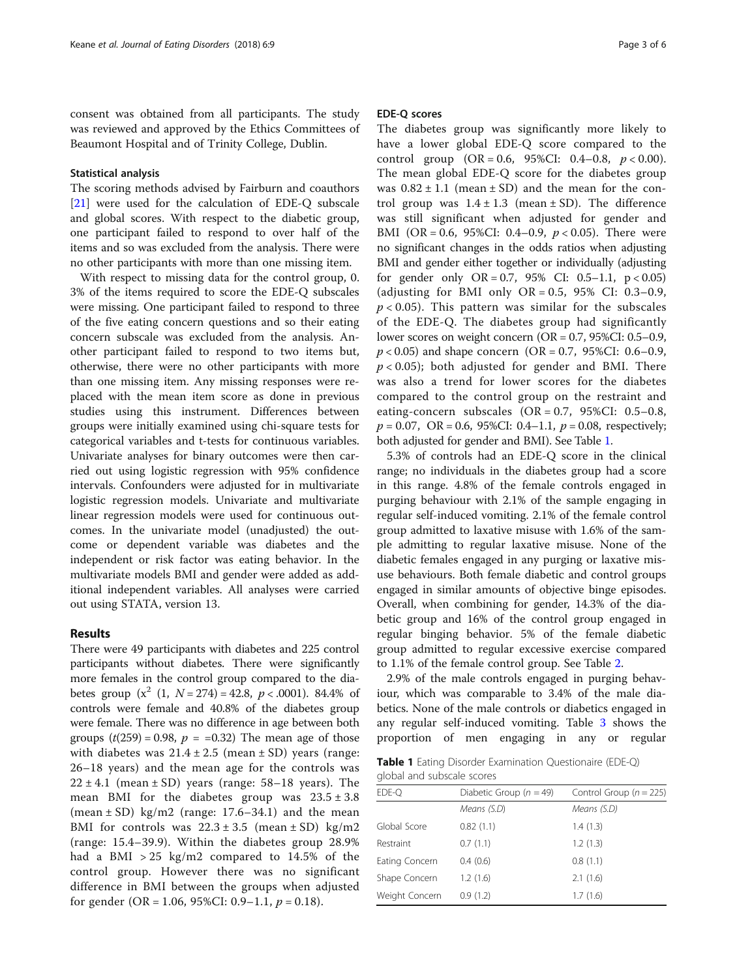consent was obtained from all participants. The study was reviewed and approved by the Ethics Committees of Beaumont Hospital and of Trinity College, Dublin.

# Statistical analysis

The scoring methods advised by Fairburn and coauthors [[21\]](#page-5-0) were used for the calculation of EDE-Q subscale and global scores. With respect to the diabetic group, one participant failed to respond to over half of the items and so was excluded from the analysis. There were no other participants with more than one missing item.

With respect to missing data for the control group, 0. 3% of the items required to score the EDE-Q subscales were missing. One participant failed to respond to three of the five eating concern questions and so their eating concern subscale was excluded from the analysis. Another participant failed to respond to two items but, otherwise, there were no other participants with more than one missing item. Any missing responses were replaced with the mean item score as done in previous studies using this instrument. Differences between groups were initially examined using chi-square tests for categorical variables and t-tests for continuous variables. Univariate analyses for binary outcomes were then carried out using logistic regression with 95% confidence intervals. Confounders were adjusted for in multivariate logistic regression models. Univariate and multivariate linear regression models were used for continuous outcomes. In the univariate model (unadjusted) the outcome or dependent variable was diabetes and the independent or risk factor was eating behavior. In the multivariate models BMI and gender were added as additional independent variables. All analyses were carried out using STATA, version 13.

# Results

There were 49 participants with diabetes and 225 control participants without diabetes. There were significantly more females in the control group compared to the diabetes group  $(x^2 (1, N = 274) = 42.8, p < .0001)$ . 84.4% of controls were female and 40.8% of the diabetes group were female. There was no difference in age between both groups  $(t(259) = 0.98, p = 0.32)$  The mean age of those with diabetes was  $21.4 \pm 2.5$  (mean  $\pm$  SD) years (range: 26–18 years) and the mean age for the controls was  $22 \pm 4.1$  (mean  $\pm$  SD) years (range: 58–18 years). The mean BMI for the diabetes group was  $23.5 \pm 3.8$ (mean  $\pm$  SD) kg/m2 (range: 17.6–34.1) and the mean BMI for controls was  $22.3 \pm 3.5$  (mean  $\pm$  SD) kg/m2 (range: 15.4–39.9). Within the diabetes group 28.9% had a BMI  $> 25$  kg/m2 compared to 14.5% of the control group. However there was no significant difference in BMI between the groups when adjusted for gender (OR = 1.06, 95%CI: 0.9–1.1,  $p = 0.18$ ).

# EDE-Q scores

The diabetes group was significantly more likely to have a lower global EDE-Q score compared to the control group  $(OR = 0.6, 95\% CI: 0.4-0.8, p < 0.00)$ . The mean global EDE-Q score for the diabetes group was  $0.82 \pm 1.1$  (mean  $\pm$  SD) and the mean for the control group was  $1.4 \pm 1.3$  (mean  $\pm$  SD). The difference was still significant when adjusted for gender and BMI (OR = 0.6, 95%CI: 0.4–0.9,  $p < 0.05$ ). There were no significant changes in the odds ratios when adjusting BMI and gender either together or individually (adjusting for gender only  $OR = 0.7$ ,  $95\%$  CI:  $0.5-1.1$ ,  $p < 0.05$ ) (adjusting for BMI only  $OR = 0.5$ , 95% CI: 0.3-0.9,  $p < 0.05$ ). This pattern was similar for the subscales of the EDE-Q. The diabetes group had significantly lower scores on weight concern (OR = 0.7, 95%CI: 0.5–0.9,  $p < 0.05$ ) and shape concern (OR = 0.7, 95%CI: 0.6–0.9,  $p < 0.05$ ); both adjusted for gender and BMI. There was also a trend for lower scores for the diabetes compared to the control group on the restraint and eating-concern subscales (OR = 0.7, 95%CI: 0.5–0.8,  $p = 0.07$ , OR = 0.6, 95%CI: 0.4–1.1,  $p = 0.08$ , respectively; both adjusted for gender and BMI). See Table 1.

5.3% of controls had an EDE-Q score in the clinical range; no individuals in the diabetes group had a score in this range. 4.8% of the female controls engaged in purging behaviour with 2.1% of the sample engaging in regular self-induced vomiting. 2.1% of the female control group admitted to laxative misuse with 1.6% of the sample admitting to regular laxative misuse. None of the diabetic females engaged in any purging or laxative misuse behaviours. Both female diabetic and control groups engaged in similar amounts of objective binge episodes. Overall, when combining for gender, 14.3% of the diabetic group and 16% of the control group engaged in regular binging behavior. 5% of the female diabetic group admitted to regular excessive exercise compared to 1.1% of the female control group. See Table [2.](#page-3-0)

2.9% of the male controls engaged in purging behaviour, which was comparable to 3.4% of the male diabetics. None of the male controls or diabetics engaged in any regular self-induced vomiting. Table [3](#page-3-0) shows the proportion of men engaging in any or regular

Table 1 Eating Disorder Examination Questionaire (EDE-Q) global and subscale scores

| EDE-O          | Diabetic Group ( $n = 49$ ) | Control Group ( $n = 225$ ) |  |
|----------------|-----------------------------|-----------------------------|--|
|                | Means (S.D)                 | Means (S.D)                 |  |
| Global Score   | 0.82(1.1)                   | 1.4(1.3)                    |  |
| Restraint      | 0.7(1.1)                    | 1.2(1.3)                    |  |
| Eating Concern | 0.4(0.6)                    | 0.8(1.1)                    |  |
| Shape Concern  | 1.2(1.6)                    | 2.1(1.6)                    |  |
| Weight Concern | 0.9(1.2)                    | 1.7(1.6)                    |  |
|                |                             |                             |  |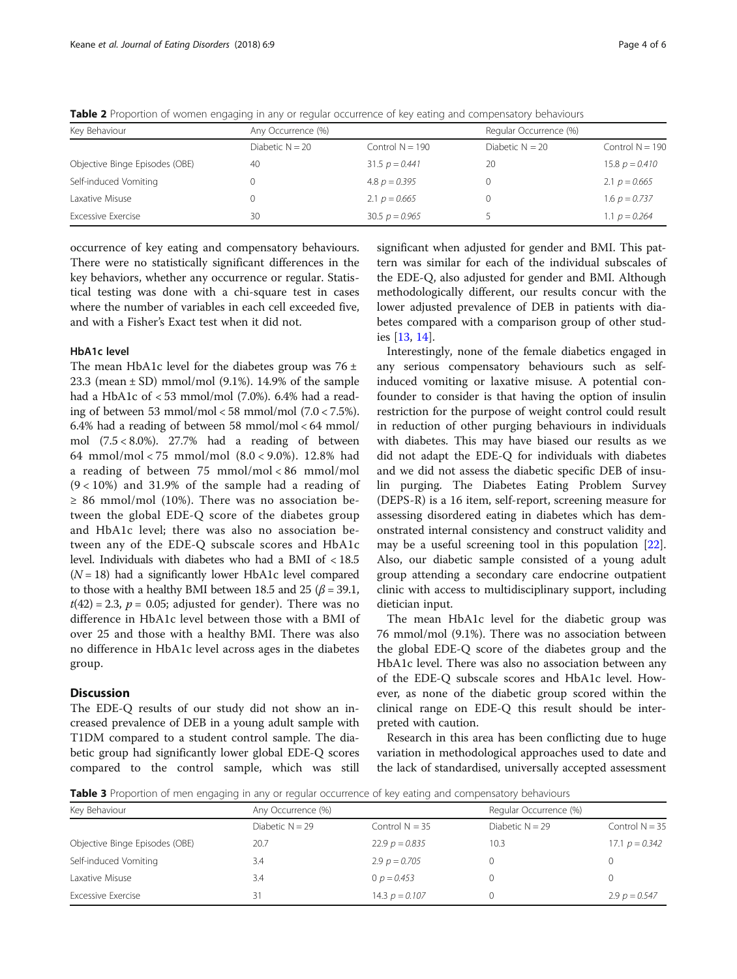| Key Behaviour                  | Any Occurrence (%) |                   | Regular Occurrence (%) |                   |
|--------------------------------|--------------------|-------------------|------------------------|-------------------|
|                                | Diabetic $N = 20$  | Control $N = 190$ | Diabetic $N = 20$      | Control $N = 190$ |
| Objective Binge Episodes (OBE) | 40                 | 31.5 $p = 0.441$  | 20                     | 15.8 $p = 0.410$  |
| Self-induced Vomiting          |                    | 4.8 $p = 0.395$   | $\Omega$               | 2.1 $p = 0.665$   |
| Laxative Misuse                |                    | 2.1 $p = 0.665$   |                        | 1.6 $p = 0.737$   |
| Excessive Exercise             | 30                 | 30.5 $p = 0.965$  |                        | 1.1 $p = 0.264$   |

<span id="page-3-0"></span>Table 2 Proportion of women engaging in any or regular occurrence of key eating and compensatory behaviours

occurrence of key eating and compensatory behaviours. There were no statistically significant differences in the key behaviors, whether any occurrence or regular. Statistical testing was done with a chi-square test in cases where the number of variables in each cell exceeded five, and with a Fisher's Exact test when it did not.

# HbA1c level

The mean HbA1c level for the diabetes group was  $76 \pm$ 23.3 (mean  $\pm$  SD) mmol/mol (9.1%). 14.9% of the sample had a HbA1c of < 53 mmol/mol (7.0%). 6.4% had a reading of between 53 mmol/mol < 58 mmol/mol (7.0 < 7.5%). 6.4% had a reading of between 58 mmol/mol < 64 mmol/ mol (7.5 < 8.0%). 27.7% had a reading of between 64 mmol/mol < 75 mmol/mol (8.0 < 9.0%). 12.8% had a reading of between 75 mmol/mol < 86 mmol/mol  $(9 < 10\%)$  and 31.9% of the sample had a reading of  $\geq$  86 mmol/mol (10%). There was no association between the global EDE-Q score of the diabetes group and HbA1c level; there was also no association between any of the EDE-Q subscale scores and HbA1c level. Individuals with diabetes who had a BMI of < 18.5  $(N = 18)$  had a significantly lower HbA1c level compared to those with a healthy BMI between 18.5 and 25 ( $\beta$  = 39.1,  $t(42) = 2.3$ ,  $p = 0.05$ ; adjusted for gender). There was no difference in HbA1c level between those with a BMI of over 25 and those with a healthy BMI. There was also no difference in HbA1c level across ages in the diabetes group.

# **Discussion**

The EDE-Q results of our study did not show an increased prevalence of DEB in a young adult sample with T1DM compared to a student control sample. The diabetic group had significantly lower global EDE-Q scores compared to the control sample, which was still significant when adjusted for gender and BMI. This pattern was similar for each of the individual subscales of the EDE-Q, also adjusted for gender and BMI. Although methodologically different, our results concur with the lower adjusted prevalence of DEB in patients with diabetes compared with a comparison group of other studies [[13](#page-5-0), [14](#page-5-0)].

Interestingly, none of the female diabetics engaged in any serious compensatory behaviours such as selfinduced vomiting or laxative misuse. A potential confounder to consider is that having the option of insulin restriction for the purpose of weight control could result in reduction of other purging behaviours in individuals with diabetes. This may have biased our results as we did not adapt the EDE-Q for individuals with diabetes and we did not assess the diabetic specific DEB of insulin purging. The Diabetes Eating Problem Survey (DEPS-R) is a 16 item, self-report, screening measure for assessing disordered eating in diabetes which has demonstrated internal consistency and construct validity and may be a useful screening tool in this population [\[22](#page-5-0)]. Also, our diabetic sample consisted of a young adult group attending a secondary care endocrine outpatient clinic with access to multidisciplinary support, including dietician input.

The mean HbA1c level for the diabetic group was 76 mmol/mol (9.1%). There was no association between the global EDE-Q score of the diabetes group and the HbA1c level. There was also no association between any of the EDE-Q subscale scores and HbA1c level. However, as none of the diabetic group scored within the clinical range on EDE-Q this result should be interpreted with caution.

Research in this area has been conflicting due to huge variation in methodological approaches used to date and the lack of standardised, universally accepted assessment

**Table 3** Proportion of men engaging in any or regular occurrence of key eating and compensatory behaviours

| Key Behaviour                  | Any Occurrence (%) |                  | Regular Occurrence (%) |                  |  |  |
|--------------------------------|--------------------|------------------|------------------------|------------------|--|--|
|                                | Diabetic $N = 29$  | Control $N = 35$ | Diabetic $N = 29$      | Control $N = 35$ |  |  |
| Objective Binge Episodes (OBE) | 20.7               | 22.9 $p = 0.835$ | 10.3                   | 17.1 $p = 0.342$ |  |  |
| Self-induced Vomiting          | 3.4                | 2.9 $p = 0.705$  |                        |                  |  |  |
| Laxative Misuse                | 3.4                | 0 $p = 0.453$    |                        |                  |  |  |
| Excessive Exercise             | 31                 | 14.3 $p = 0.107$ |                        | 2.9 $p = 0.547$  |  |  |
|                                |                    |                  |                        |                  |  |  |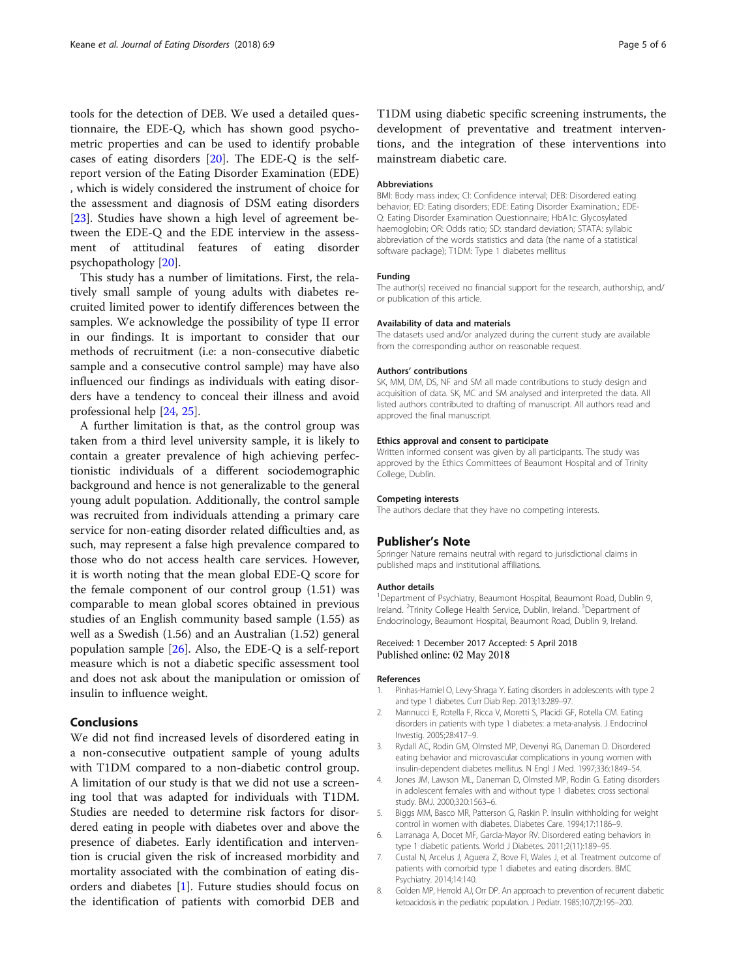<span id="page-4-0"></span>tools for the detection of DEB. We used a detailed questionnaire, the EDE-Q, which has shown good psychometric properties and can be used to identify probable cases of eating disorders [[20\]](#page-5-0). The EDE-Q is the selfreport version of the Eating Disorder Examination (EDE) , which is widely considered the instrument of choice for the assessment and diagnosis of DSM eating disorders [[23\]](#page-5-0). Studies have shown a high level of agreement between the EDE-Q and the EDE interview in the assessment of attitudinal features of eating disorder psychopathology [[20\]](#page-5-0).

This study has a number of limitations. First, the relatively small sample of young adults with diabetes recruited limited power to identify differences between the samples. We acknowledge the possibility of type II error in our findings. It is important to consider that our methods of recruitment (i.e: a non-consecutive diabetic sample and a consecutive control sample) may have also influenced our findings as individuals with eating disorders have a tendency to conceal their illness and avoid professional help [\[24,](#page-5-0) [25\]](#page-5-0).

A further limitation is that, as the control group was taken from a third level university sample, it is likely to contain a greater prevalence of high achieving perfectionistic individuals of a different sociodemographic background and hence is not generalizable to the general young adult population. Additionally, the control sample was recruited from individuals attending a primary care service for non-eating disorder related difficulties and, as such, may represent a false high prevalence compared to those who do not access health care services. However, it is worth noting that the mean global EDE-Q score for the female component of our control group (1.51) was comparable to mean global scores obtained in previous studies of an English community based sample (1.55) as well as a Swedish (1.56) and an Australian (1.52) general population sample [\[26\]](#page-5-0). Also, the EDE-Q is a self-report measure which is not a diabetic specific assessment tool and does not ask about the manipulation or omission of insulin to influence weight.

# Conclusions

We did not find increased levels of disordered eating in a non-consecutive outpatient sample of young adults with T1DM compared to a non-diabetic control group. A limitation of our study is that we did not use a screening tool that was adapted for individuals with T1DM. Studies are needed to determine risk factors for disordered eating in people with diabetes over and above the presence of diabetes. Early identification and intervention is crucial given the risk of increased morbidity and mortality associated with the combination of eating disorders and diabetes [1]. Future studies should focus on the identification of patients with comorbid DEB and T1DM using diabetic specific screening instruments, the development of preventative and treatment interventions, and the integration of these interventions into mainstream diabetic care.

#### Abbreviations

BMI: Body mass index; CI: Confidence interval; DEB: Disordered eating behavior; ED: Eating disorders; EDE: Eating Disorder Examination.; EDE-Q: Eating Disorder Examination Questionnaire; HbA1c: Glycosylated haemoglobin; OR: Odds ratio; SD: standard deviation; STATA: syllabic abbreviation of the words statistics and data (the name of a statistical software package); T1DM: Type 1 diabetes mellitus

## Funding

The author(s) received no financial support for the research, authorship, and/ or publication of this article.

## Availability of data and materials

The datasets used and/or analyzed during the current study are available from the corresponding author on reasonable request.

## Authors' contributions

SK, MM, DM, DS, NF and SM all made contributions to study design and acquisition of data. SK, MC and SM analysed and interpreted the data. All listed authors contributed to drafting of manuscript. All authors read and approved the final manuscript.

## Ethics approval and consent to participate

Written informed consent was given by all participants. The study was approved by the Ethics Committees of Beaumont Hospital and of Trinity College, Dublin.

## Competing interests

The authors declare that they have no competing interests.

## Publisher's Note

Springer Nature remains neutral with regard to jurisdictional claims in published maps and institutional affiliations.

## Author details

<sup>1</sup>Department of Psychiatry, Beaumont Hospital, Beaumont Road, Dublin 9 Ireland. <sup>2</sup>Trinity College Health Service, Dublin, Ireland. <sup>3</sup>Department of Endocrinology, Beaumont Hospital, Beaumont Road, Dublin 9, Ireland.

Received: 1 December 2017 Accepted: 5 April 2018 Published online: 02 May 2018

### References

- 1. Pinhas-Hamiel O, Levy-Shraga Y. Eating disorders in adolescents with type 2 and type 1 diabetes. Curr Diab Rep. 2013;13:289–97.
- 2. Mannucci E, Rotella F, Ricca V, Moretti S, Placidi GF, Rotella CM. Eating disorders in patients with type 1 diabetes: a meta-analysis. J Endocrinol Investig. 2005;28:417–9.
- 3. Rydall AC, Rodin GM, Olmsted MP, Devenyi RG, Daneman D. Disordered eating behavior and microvascular complications in young women with insulin-dependent diabetes mellitus. N Engl J Med. 1997;336:1849–54.
- 4. Jones JM, Lawson ML, Daneman D, Olmsted MP, Rodin G. Eating disorders in adolescent females with and without type 1 diabetes: cross sectional study. BMJ. 2000;320:1563–6.
- 5. Biggs MM, Basco MR, Patterson G, Raskin P. Insulin withholding for weight control in women with diabetes. Diabetes Care. 1994;17:1186–9.
- 6. Larranaga A, Docet MF, Garcia-Mayor RV. Disordered eating behaviors in type 1 diabetic patients. World J Diabetes. 2011;2(11):189–95.
- 7. Custal N, Arcelus J, Aguera Z, Bove FI, Wales J, et al. Treatment outcome of patients with comorbid type 1 diabetes and eating disorders. BMC Psychiatry. 2014;14:140.
- 8. Golden MP, Herrold AJ, Orr DP. An approach to prevention of recurrent diabetic ketoacidosis in the pediatric population. J Pediatr. 1985;107(2):195–200.